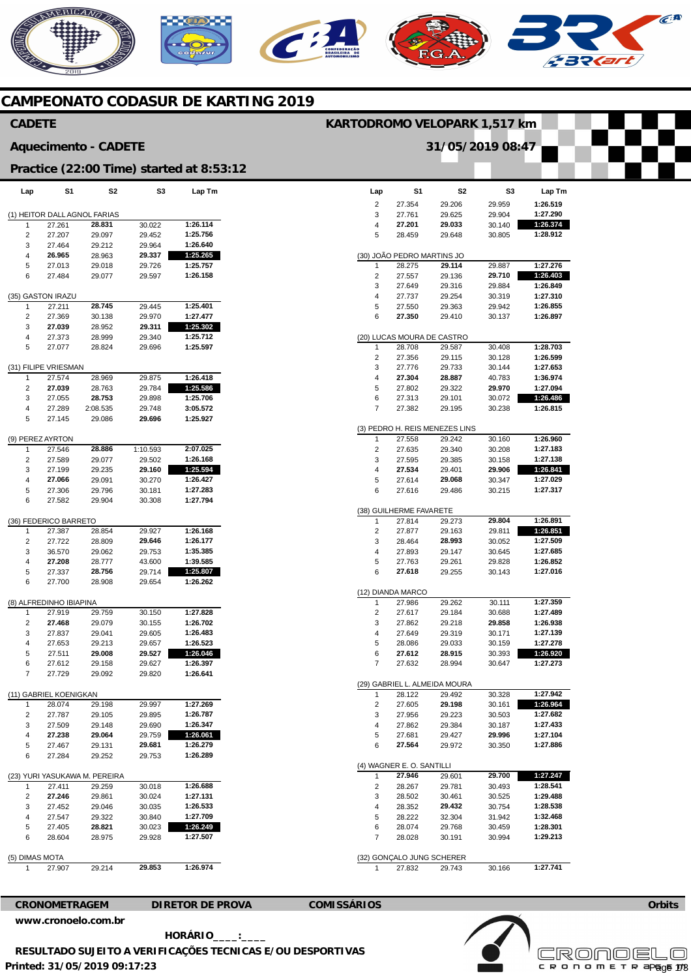## **AERICANO** C **232**

### **CAMPEONATO CODASUR DE KARTING 2019**

| <b>CADETE</b>               |                                        |                               |                  |                                          | KARTODROMO VELOPARK 1,517 km |                                      |                                |                  |                      |
|-----------------------------|----------------------------------------|-------------------------------|------------------|------------------------------------------|------------------------------|--------------------------------------|--------------------------------|------------------|----------------------|
| <b>Aquecimento - CADETE</b> |                                        |                               |                  |                                          |                              |                                      | 31/05/2019 08:47               |                  |                      |
|                             |                                        |                               |                  | Practice (22:00 Time) started at 8:53:12 |                              |                                      |                                |                  |                      |
| Lap                         | S1                                     | S2                            | S <sub>3</sub>   | Lap Tm                                   | Lap                          | S <sub>1</sub>                       | S <sub>2</sub>                 | S <sub>3</sub>   | Lap Tm               |
|                             |                                        |                               |                  |                                          | $\overline{2}$<br>3          | 27.354                               | 29.206                         | 29.959<br>29.904 | 1:26.519<br>1:27.290 |
| 1                           | (1) HEITOR DALL AGNOL FARIAS<br>27.261 | 28.831                        | 30.022           | 1:26.114                                 | 4                            | 27.761<br>27.201                     | 29.625<br>29.033               | 30.140           | 1:26.374             |
| $\overline{\mathbf{c}}$     | 27.207                                 | 29.097                        | 29.452           | 1:25.756                                 | 5                            | 28.459                               | 29.648                         | 30.805           | 1:28.912             |
| 3                           | 27.464                                 | 29.212                        | 29.964           | 1:26.640                                 |                              |                                      |                                |                  |                      |
| $\overline{4}$              | 26.965                                 | 28.963                        | 29.337           | 1:25.265                                 |                              | (30) JOÃO PEDRO MARTINS JO           |                                |                  |                      |
| 5                           | 27.013                                 | 29.018                        | 29.726           | 1:25.757                                 | $\mathbf{1}$                 | 28.275                               | 29.114                         | 29.887           | 1:27.276             |
| 6                           | 27.484                                 | 29.077                        | 29.597           | 1:26.158                                 | $\sqrt{2}$                   | 27.557                               | 29.136                         | 29.710           | 1:26.403             |
|                             |                                        |                               |                  |                                          | 3                            | 27.649                               | 29.316                         | 29.884           | 1:26.849             |
|                             | (35) GASTON IRAZU                      |                               |                  |                                          | 4                            | 27.737                               | 29.254                         | 30.319           | 1:27.310             |
| 1                           | 27.211                                 | 28.745                        | 29.445           | 1:25.401                                 | 5                            | 27.550                               | 29.363                         | 29.942           | 1:26.855             |
| $\overline{\mathbf{c}}$     | 27.369                                 | 30.138                        | 29.970           | 1:27.477                                 | 6                            | 27.350                               | 29.410                         | 30.137           | 1:26.897             |
| 3                           | 27.039                                 | 28.952                        | 29.311           | 1:25.302<br>1:25.712                     |                              |                                      |                                |                  |                      |
| 4<br>5                      | 27.373<br>27.077                       | 28.999<br>28.824              | 29.340<br>29.696 | 1:25.597                                 | $\mathbf{1}$                 | (20) LUCAS MOURA DE CASTRO<br>28.708 | 29.587                         | 30.408           | 1:28.703             |
|                             |                                        |                               |                  |                                          | $\overline{2}$               | 27.356                               | 29.115                         | 30.128           | 1:26.599             |
|                             | (31) FILIPE VRIESMAN                   |                               |                  |                                          | 3                            | 27.776                               | 29.733                         | 30.144           | 1:27.653             |
| $\mathbf{1}$                | 27.574                                 | 28.969                        | 29.875           | 1:26.418                                 | 4                            | 27.304                               | 28.887                         | 40.783           | 1:36.974             |
| $\overline{2}$              | 27.039                                 | 28.763                        | 29.784           | 1:25.586                                 | 5                            | 27.802                               | 29.322                         | 29.970           | 1:27.094             |
| 3                           | 27.055                                 | 28.753                        | 29.898           | 1:25.706                                 | 6                            | 27.313                               | 29.101                         | 30.072           | 1:26.486             |
| 4                           | 27.289                                 | 2:08.535                      | 29.748           | 3:05.572                                 | $\overline{7}$               | 27.382                               | 29.195                         | 30.238           | 1:26.815             |
| 5                           | 27.145                                 | 29.086                        | 29.696           | 1:25.927                                 |                              |                                      |                                |                  |                      |
|                             |                                        |                               |                  |                                          |                              |                                      | (3) PEDRO H. REIS MENEZES LINS |                  |                      |
|                             | (9) PEREZ AYRTON                       |                               |                  |                                          | $\mathbf{1}$                 | 27.558                               | 29.242                         | 30.160           | 1:26.960             |
| $\mathbf{1}$                | 27.546                                 | 28.886                        | 1:10.593         | 2:07.025                                 | $\overline{2}$               | 27.635                               | 29.340                         | 30.208           | 1:27.183             |
| $\overline{\mathbf{c}}$     | 27.589                                 | 29.077                        | 29.502           | 1:26.168                                 | 3                            | 27.595                               | 29.385                         | 30.158           | 1:27.138             |
| 3                           | 27.199                                 | 29.235                        | 29.160           | 1:25.594                                 | 4                            | 27.534                               | 29.401                         | 29.906           | 1:26.841             |
| 4                           | 27.066                                 | 29.091                        | 30.270           | 1:26.427                                 | 5                            | 27.614                               | 29.068                         | 30.347           | 1:27.029             |
| 5                           | 27.306                                 | 29.796                        | 30.181           | 1:27.283                                 | 6                            | 27.616                               | 29.486                         | 30.215           | 1:27.317             |
| 6                           | 27.582                                 | 29.904                        | 30.308           | 1:27.794                                 |                              |                                      |                                |                  |                      |
|                             |                                        |                               |                  |                                          | (38) GUILHERME FAVARETE      |                                      |                                |                  |                      |
|                             | (36) FEDERICO BARRETO                  |                               |                  |                                          | $\mathbf{1}$                 | 27.814                               | 29.273                         | 29.804           | 1:26.891             |
| $\mathbf{1}$                | 27.387                                 | 28.854                        | 29.927           | 1:26.168                                 | $\overline{2}$               | 27.877                               | 29.163                         | 29.811           | 1:26.851             |
| $\overline{\mathbf{c}}$     | 27.722                                 | 28.809                        | 29.646           | 1:26.177                                 | 3                            | 28.464                               | 28.993                         | 30.052           | 1:27.509             |
| 3                           | 36.570                                 | 29.062                        | 29.753           | 1:35.385                                 | 4                            | 27.893                               | 29.147                         | 30.645           | 1:27.685             |
| 4                           | 27.208                                 | 28.777                        | 43.600           | 1:39.585<br>1:25.807                     | 5                            | 27.763                               | 29.261                         | 29.828           | 1:26.852<br>1:27.016 |
| 5<br>6                      | 27.337<br>27.700                       | 28.756                        | 29.714           | 1:26.262                                 | 6                            | 27.618                               | 29.255                         | 30.143           |                      |
|                             |                                        | 28.908                        | 29.654           |                                          |                              | (12) DIANDA MARCO                    |                                |                  |                      |
|                             | (8) ALFREDINHO IBIAPINA                |                               |                  |                                          | $\mathbf{1}$                 | 27.986                               | 29.262                         | 30.111           | 1:27.359             |
| 1                           | 27.919                                 | 29.759                        | 30.150           | 1:27.828                                 | 2                            | 27.617                               | 29.184                         | 30.688           | 1:27.489             |
| $\overline{\mathbf{c}}$     | 27.468                                 | 29.079                        | 30.155           | 1:26.702                                 | 3                            | 27.862                               | 29.218                         | 29.858           | 1:26.938             |
| 3                           | 27.837                                 | 29.041                        | 29.605           | 1:26.483                                 | 4                            | 27.649                               | 29.319                         | 30.171           | 1:27.139             |
| 4                           | 27.653                                 | 29.213                        | 29.657           | 1:26.523                                 | 5                            | 28.086                               | 29.033                         | 30.159           | 1:27.278             |
| 5                           | 27.511                                 | 29.008                        | 29.527           | 1:26.046                                 | 6                            | 27.612                               | 28.915                         | 30.393           | 1:26.920             |
| 6                           | 27.612                                 | 29.158                        | 29.627           | 1:26.397                                 | $\overline{7}$               | 27.632                               | 28.994                         | 30.647           | 1:27.273             |
| 7                           | 27.729                                 | 29.092                        | 29.820           | 1:26.641                                 |                              |                                      |                                |                  |                      |
|                             |                                        |                               |                  |                                          |                              |                                      | (29) GABRIEL L. ALMEIDA MOURA  |                  |                      |
|                             | (11) GABRIEL KOENIGKAN                 |                               |                  |                                          | $\mathbf{1}$                 | 28.122                               | 29.492                         | 30.328           | 1:27.942             |
| 1                           | 28.074                                 | 29.198                        | 29.997           | 1:27.269                                 | $\sqrt{2}$                   | 27.605                               | 29.198                         | 30.161           | 1:26.964             |
| $\overline{\mathbf{c}}$     | 27.787                                 | 29.105                        | 29.895           | 1:26.787                                 | 3                            | 27.956                               | 29.223                         | 30.503           | 1:27.682             |
| 3                           | 27.509                                 | 29.148                        | 29.690           | 1:26.347                                 | 4                            | 27.862                               | 29.384                         | 30.187           | 1:27.433             |
| 4                           | 27.238                                 | 29.064                        | 29.759           | 1:26.061                                 | 5                            | 27.681                               | 29.427                         | 29.996           | 1:27.104             |
| 5                           | 27.467                                 | 29.131                        | 29.681           | 1:26.279                                 | 6                            | 27.564                               | 29.972                         | 30.350           | 1:27.886             |
| 6                           | 27.284                                 | 29.252                        | 29.753           | 1:26.289                                 |                              |                                      |                                |                  |                      |
|                             |                                        |                               |                  |                                          |                              | (4) WAGNER E. O. SANTILLI            |                                |                  |                      |
|                             |                                        | (23) YURI YASUKAWA M. PEREIRA |                  |                                          | $\mathbf{1}$                 | 27.946                               | 29.601                         | 29.700           | 1:27.247             |
| $\mathbf{1}$                | 27.411                                 | 29.259                        | 30.018           | 1:26.688                                 | $\sqrt{2}$                   | 28.267                               | 29.781                         | 30.493           | 1:28.541             |
| $\overline{\mathbf{c}}$     | 27.246                                 | 29.861                        | 30.024           | 1:27.131                                 | 3                            | 28.502                               | 30.461                         | 30.525           | 1:29.488             |
| 3                           | 27.452                                 | 29.046                        | 30.035           | 1:26.533                                 | 4                            | 28.352                               | 29.432                         | 30.754           | 1:28.538             |
| 4                           | 27.547                                 | 29.322                        | 30.840           | 1:27.709                                 | 5                            | 28.222                               | 32.304                         | 31.942           | 1:32.468             |
| 5                           | 27.405                                 | 28.821                        | 30.023           | 1:26.249<br>1:27.507                     | 6<br>$\overline{7}$          | 28.074                               | 29.768                         | 30.459           | 1:28.301<br>1:29.213 |
| 6                           | 28.604                                 | 28.975                        | 29.928           |                                          |                              | 28.028                               | 30.191                         | 30.994           |                      |
|                             | (5) DIMAS MOTA                         |                               |                  |                                          |                              | (32) GONÇALO JUNG SCHERER            |                                |                  |                      |
| 1                           | 27.907                                 | 29.214                        | 29.853           | 1:26.974                                 | $\mathbf{1}$                 | 27.832                               | 29.743                         | 30.166           | 1:27.741             |
|                             |                                        |                               |                  |                                          |                              |                                      |                                |                  |                      |

**CRONOMETRAGEM DIRETOR DE PROVA COMISSÁRIOS [www.cronoelo.com.br](http://www.cronoelo.com.br)** 

**Printed: 31/05/2019 09:17:23 HORÁRIO\_\_\_\_:\_\_\_\_ RESULTADO SUJEITO A VERIFICAÇÕES TECNICAS E/OU DESPORTIVAS**  **Licensed to: Cronoelo**  Page 1/3

**Orbits** 

 $\mathcal{C}^{\mathbf{R}}$ 

**TELESCOPE**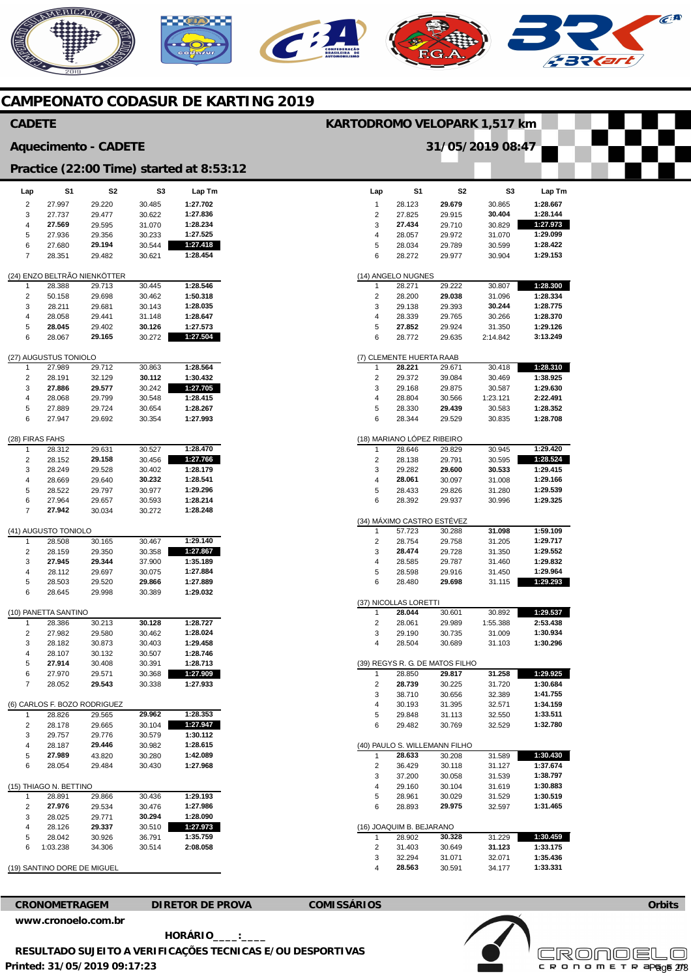# NERICANO  $\mathbf{C}$

## **CAMPEONATO CODASUR DE KARTING 2019**

|                                          | <b>CADETE</b><br>KARTODROMO VELOPARK 1,517 km |                                        |                  |                      |                                |                                      |                                 |                    |                      |  |
|------------------------------------------|-----------------------------------------------|----------------------------------------|------------------|----------------------|--------------------------------|--------------------------------------|---------------------------------|--------------------|----------------------|--|
| <b>Aquecimento - CADETE</b>              |                                               |                                        |                  |                      |                                |                                      | 31/05/2019 08:47                |                    |                      |  |
| Practice (22:00 Time) started at 8:53:12 |                                               |                                        |                  |                      |                                |                                      |                                 |                    |                      |  |
| Lap                                      | S1                                            | S <sub>2</sub>                         | S <sub>3</sub>   | Lap Tm               | Lap                            | S1                                   | S <sub>2</sub>                  | S3                 | Lap Tm               |  |
| $\overline{\mathbf{c}}$                  | 27.997                                        | 29.220                                 | 30.485           | 1:27.702             | 1                              | 28.123                               | 29.679                          | 30.865             | 1:28.667             |  |
| 3                                        | 27.737                                        | 29.477                                 | 30.622           | 1:27.836             | $\overline{2}$                 | 27.825                               | 29.915                          | 30.404             | 1:28.144             |  |
| 4                                        | 27.569                                        | 29.595                                 | 31.070           | 1:28.234             | 3                              | 27.434                               | 29.710                          | 30.829             | 1:27.973             |  |
| 5<br>6                                   | 27.936<br>27.680                              | 29.356<br>29.194                       | 30.233<br>30.544 | 1:27.525<br>1:27.418 | 4<br>5                         | 28.057<br>28.034                     | 29.972<br>29.789                | 31.070<br>30.599   | 1:29.099<br>1:28.422 |  |
| $\overline{7}$                           | 28.351                                        | 29.482                                 | 30.621           | 1:28.454             | 6                              | 28.272                               | 29.977                          | 30.904             | 1:29.153             |  |
|                                          |                                               |                                        |                  |                      |                                |                                      |                                 |                    |                      |  |
|                                          |                                               | (24) ENZO BELTRÃO NIENKÖTTER           |                  |                      |                                | (14) ANGELO NUGNES                   |                                 |                    |                      |  |
| $\overline{1}$                           | 28.388                                        | 29.713                                 | 30.445           | 1:28.546             |                                | 28.271                               | 29.222                          | 30.807             | 1:28.300             |  |
| $\sqrt{2}$<br>3                          | 50.158<br>28.211                              | 29.698<br>29.681                       | 30.462<br>30.143 | 1:50.318<br>1:28.035 | $\sqrt{2}$<br>3                | 28.200<br>29.138                     | 29.038<br>29.393                | 31.096<br>30.244   | 1:28.334<br>1:28.775 |  |
| $\overline{4}$                           | 28.058                                        | 29.441                                 | 31.148           | 1:28.647             | 4                              | 28.339                               | 29.765                          | 30.266             | 1:28.370             |  |
| 5                                        | 28.045                                        | 29.402                                 | 30.126           | 1:27.573             | 5                              | 27.852                               | 29.924                          | 31.350             | 1:29.126             |  |
| 6                                        | 28.067                                        | 29.165                                 | 30.272           | 1:27.504             | 6                              | 28.772                               | 29.635                          | 2:14.842           | 3:13.249             |  |
|                                          | (27) AUGUSTUS TONIOLO                         |                                        |                  |                      |                                | (7) CLEMENTE HUERTA RAAB             |                                 |                    |                      |  |
| $\mathbf{1}$                             | 27.989                                        | 29.712                                 | 30.863           | 1:28.564             | -1                             | 28.221                               | 29.671                          | 30.418             | 1:28.310             |  |
| $\sqrt{2}$                               | 28.191                                        | 32.129                                 | 30.112           | 1:30.432             | $\sqrt{2}$                     | 29.372                               | 39.084                          | 30.469             | 1:38.925             |  |
| 3<br>$\overline{4}$                      | 27.886<br>28.068                              | 29.577<br>29.799                       | 30.242<br>30.548 | 1:27.705<br>1:28.415 | 3<br>$\overline{4}$            | 29.168<br>28.804                     | 29.875<br>30.566                | 30.587<br>1:23.121 | 1:29.630<br>2:22.491 |  |
| 5                                        | 27.889                                        | 29.724                                 | 30.654           | 1:28.267             | 5                              | 28.330                               | 29.439                          | 30.583             | 1:28.352             |  |
| 6                                        | 27.947                                        | 29.692                                 | 30.354           | 1:27.993             | 6                              | 28.344                               | 29.529                          | 30.835             | 1:28.708             |  |
| (28) FIRAS FAHS                          |                                               |                                        |                  |                      |                                | (18) MARIANO LÓPEZ RIBEIRO           |                                 |                    |                      |  |
| $\overline{1}$                           | 28.312                                        | 29.631                                 | 30.527           | 1:28.470             |                                | 28.646                               | 29.829                          | 30.945             | 1:29.420             |  |
| $\sqrt{2}$                               | 28.152                                        | 29.158                                 | 30.456           | 1:27.766             | $\overline{2}$                 | 28.138                               | 29.791                          | 30.595             | 1:28.524             |  |
| 3<br>4                                   | 28.249<br>28.669                              | 29.528<br>29.640                       | 30.402<br>30.232 | 1:28.179<br>1:28.541 | 3<br>4                         | 29.282<br>28.061                     | 29.600<br>30.097                | 30.533<br>31.008   | 1:29.415<br>1:29.166 |  |
| 5                                        | 28.522                                        | 29.797                                 | 30.977           | 1:29.296             | 5                              | 28.433                               | 29.826                          | 31.280             | 1:29.539             |  |
| 6                                        | 27.964                                        | 29.657                                 | 30.593           | 1:28.214             | 6                              | 28.392                               | 29.937                          | 30.996             | 1:29.325             |  |
| $\overline{7}$                           | 27.942                                        | 30.034                                 | 30.272           | 1:28.248             |                                |                                      |                                 |                    |                      |  |
|                                          |                                               |                                        |                  |                      |                                | (34) MÁXIMO CASTRO ESTÉVEZ<br>57.723 | 30.288                          | 31.098             | 1:59.109             |  |
| -1                                       | (41) AUGUSTO TONIOLO<br>28.508                | 30.165                                 | 30.467           | 1:29.140             | $\mathbf{1}$<br>$\overline{c}$ | 28.754                               | 29.758                          | 31.205             | 1:29.717             |  |
| $\sqrt{2}$                               | 28.159                                        | 29.350                                 | 30.358           | 1:27.867             | 3                              | 28.474                               | 29.728                          | 31.350             | 1:29.552             |  |
| 3                                        | 27.945                                        | 29.344                                 | 37.900           | 1:35.189             | $\overline{4}$                 | 28.585                               | 29.787                          | 31.460             | 1:29.832             |  |
| $\overline{4}$                           | 28.112                                        | 29.697                                 | 30.075           | 1:27.884             | 5                              | 28.598                               | 29.916                          | 31.450             | 1:29.964             |  |
| 5                                        | 28.503                                        | 29.520                                 | 29.866           | 1:27.889             | 6                              | 28.480                               | 29.698                          | 31.115             | 1:29.293             |  |
| 6                                        | 28.645                                        | 29.998                                 | 30.389           | 1:29.032             |                                | (37) NICOLLAS LORETTI                |                                 |                    |                      |  |
|                                          | (10) PANETTA SANTINO                          |                                        |                  |                      | $\mathbf{1}$                   | 28.044                               | 30.601                          | 30.892             | 1:29.537             |  |
| -1                                       | 28.386                                        | 30.213                                 | 30.128           | 1:28.727             | $\overline{c}$                 | 28.061                               | 29.989                          | 1:55.388           | 2:53.438             |  |
| $\overline{\mathbf{c}}$                  | 27.982                                        | 29.580                                 | 30.462           | 1:28.024             | 3                              | 29.190                               | 30.735                          | 31.009             | 1:30.934             |  |
| 3<br>4                                   | 28.182<br>28.107                              | 30.873<br>30.132                       | 30.403<br>30.507 | 1:29.458<br>1:28.746 | 4                              | 28.504                               | 30.689                          | 31.103             | 1:30.296             |  |
| 5                                        | 27.914                                        | 30.408                                 | 30.391           | 1:28.713             |                                |                                      | (39) REGYS R. G. DE MATOS FILHO |                    |                      |  |
| 6                                        | 27.970                                        | 29.571                                 | 30.368           | 1:27.909             | 1                              | 28.850                               | 29.817                          | 31.258             | 1:29.925             |  |
| $\overline{7}$                           | 28.052                                        | 29.543                                 | 30.338           | 1:27.933             | $\overline{2}$                 | 28.739                               | 30.225                          | 31.720             | 1:30.684             |  |
|                                          |                                               |                                        |                  |                      | 3                              | 38.710                               | 30.656                          | 32.389             | 1:41.755             |  |
| -1                                       | 28.826                                        | (6) CARLOS F. BOZO RODRIGUEZ<br>29.565 | 29.962           | 1:28.353             | 4<br>5                         | 30.193<br>29.848                     | 31.395<br>31.113                | 32.571<br>32.550   | 1:34.159<br>1:33.511 |  |
| $\overline{2}$                           | 28.178                                        | 29.665                                 | 30.104           | 1:27.947             | 6                              | 29.482                               | 30.769                          | 32.529             | 1:32.780             |  |
| 3                                        | 29.757                                        | 29.776                                 | 30.579           | 1:30.112             |                                |                                      |                                 |                    |                      |  |
| 4                                        | 28.187                                        | 29.446                                 | 30.982           | 1:28.615             |                                |                                      | (40) PAULO S. WILLEMANN FILHO   |                    |                      |  |
| 5                                        | 27.989                                        | 43.820                                 | 30.280           | 1:42.089             | -1                             | 28.633                               | 30.208                          | 31.589             | 1:30.430             |  |
| 6                                        | 28.054                                        | 29.484                                 | 30.430           | 1:27.968             | 2                              | 36.429                               | 30.118                          | 31.127             | 1:37.674             |  |
|                                          | (15) THIAGO N. BETTINO                        |                                        |                  |                      | 3<br>4                         | 37.200<br>29.160                     | 30.058<br>30.104                | 31.539<br>31.619   | 1:38.797<br>1:30.883 |  |
| -1                                       | 28.891                                        | 29.866                                 | 30.436           | 1:29.193             | 5                              | 28.961                               | 30.029                          | 31.529             | 1:30.519             |  |
| $\overline{c}$                           | 27.976                                        | 29.534                                 | 30.476           | 1:27.986             | 6                              | 28.893                               | 29.975                          | 32.597             | 1:31.465             |  |
| 3                                        | 28.025                                        | 29.771                                 | 30.294           | 1:28.090             |                                |                                      |                                 |                    |                      |  |
| 4                                        | 28.126                                        | 29.337                                 | 30.510           | 1:27.973             |                                | (16) JOAQUIM B. BEJARANO             |                                 |                    |                      |  |
| 5<br>6                                   | 28.042<br>1:03.238                            | 30.926<br>34.306                       | 36.791<br>30.514 | 1:35.759<br>2:08.058 | 1<br>2                         | 28.902<br>31.403                     | 30.328<br>30.649                | 31.229<br>31.123   | 1:30.459<br>1:33.175 |  |
|                                          |                                               |                                        |                  |                      | 3                              | 32.294                               | 31.071                          | 32.071             | 1:35.436             |  |
|                                          | (19) SANTINO DORE DE MIGUEL                   |                                        |                  |                      | $\overline{4}$                 | 28.563                               | 30.591                          | 34.177             | 1:33.331             |  |
|                                          |                                               |                                        |                  |                      |                                |                                      |                                 |                    |                      |  |

**[www.cronoelo.com.br](http://www.cronoelo.com.br)** 

**CRONOMETRAGEM DIRETOR DE PROVA COMISSÁRIOS** 

**Printed: 31/05/2019 09:17:23 HORÁRIO\_\_\_\_:\_\_\_\_ RESULTADO SUJEITO A VERIFICAÇÕES TECNICAS E/OU DESPORTIVAS** 



**Orbits** 

 $C^{A}$